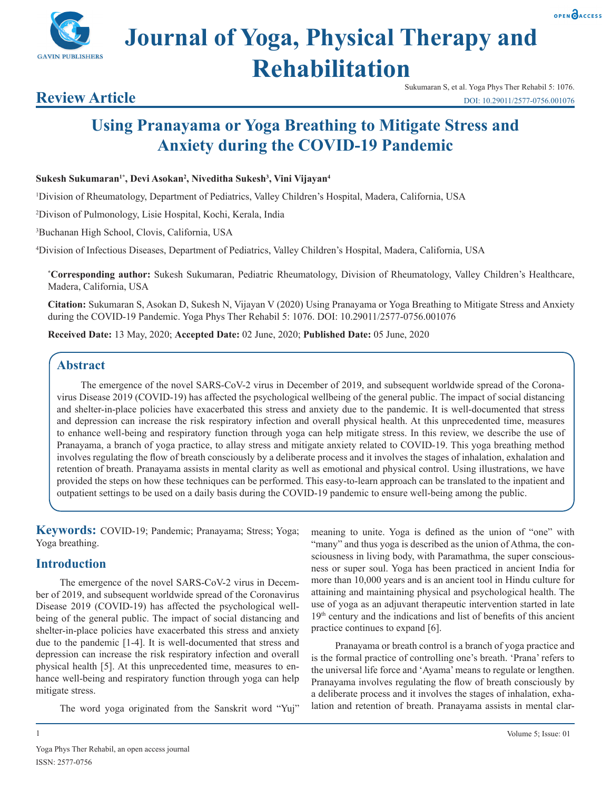

# **Journal of Yoga, Physical Therapy and Rehabilitation**

Sukumaran S, et al. Yoga Phys Ther Rehabil 5: 1076. DOI: 10.29011/2577-0756.001076

## **Using Pranayama or Yoga Breathing to Mitigate Stress and Anxiety during the COVID-19 Pandemic**

**Sukesh Sukumaran1\*, Devi Asokan2 , Niveditha Sukesh3 , Vini Vijayan4**

1 Division of Rheumatology, Department of Pediatrics, Valley Children's Hospital, Madera, California, USA

2 Divison of Pulmonology, Lisie Hospital, Kochi, Kerala, India

3 Buchanan High School, Clovis, California, USA

4 Division of Infectious Diseases, Department of Pediatrics, Valley Children's Hospital, Madera, California, USA

**\* Corresponding author:** Sukesh Sukumaran, Pediatric Rheumatology, Division of Rheumatology, Valley Children's Healthcare, Madera, California, USA

**Citation:** Sukumaran S, Asokan D, Sukesh N, Vijayan V (2020) Using Pranayama or Yoga Breathing to Mitigate Stress and Anxiety during the COVID-19 Pandemic. Yoga Phys Ther Rehabil 5: 1076. DOI: 10.29011/2577-0756.001076

**Received Date:** 13 May, 2020; **Accepted Date:** 02 June, 2020; **Published Date:** 05 June, 2020

### **Abstract**

The emergence of the novel SARS-CoV-2 virus in December of 2019, and subsequent worldwide spread of the Coronavirus Disease 2019 (COVID-19) has affected the psychological wellbeing of the general public. The impact of social distancing and shelter-in-place policies have exacerbated this stress and anxiety due to the pandemic. It is well-documented that stress and depression can increase the risk respiratory infection and overall physical health. At this unprecedented time, measures to enhance well-being and respiratory function through yoga can help mitigate stress. In this review, we describe the use of Pranayama, a branch of yoga practice, to allay stress and mitigate anxiety related to COVID-19. This yoga breathing method involves regulating the flow of breath consciously by a deliberate process and it involves the stages of inhalation, exhalation and retention of breath. Pranayama assists in mental clarity as well as emotional and physical control. Using illustrations, we have provided the steps on how these techniques can be performed. This easy-to-learn approach can be translated to the inpatient and outpatient settings to be used on a daily basis during the COVID-19 pandemic to ensure well-being among the public.

**Keywords:** COVID-19; Pandemic; Pranayama; Stress; Yoga; Yoga breathing.

#### **Introduction**

The emergence of the novel SARS-CoV-2 virus in December of 2019, and subsequent worldwide spread of the Coronavirus Disease 2019 (COVID-19) has affected the psychological wellbeing of the general public. The impact of social distancing and shelter-in-place policies have exacerbated this stress and anxiety due to the pandemic [1-4]. It is well-documented that stress and depression can increase the risk respiratory infection and overall physical health [5]. At this unprecedented time, measures to enhance well-being and respiratory function through yoga can help mitigate stress.

The word yoga originated from the Sanskrit word "Yuj"

meaning to unite. Yoga is defined as the union of "one" with "many" and thus yoga is described as the union of Athma, the consciousness in living body, with Paramathma, the super consciousness or super soul. Yoga has been practiced in ancient India for more than 10,000 years and is an ancient tool in Hindu culture for attaining and maintaining physical and psychological health. The use of yoga as an adjuvant therapeutic intervention started in late  $19<sup>th</sup>$  century and the indications and list of benefits of this ancient practice continues to expand [6].

Pranayama or breath control is a branch of yoga practice and is the formal practice of controlling one's breath. 'Prana' refers to the universal life force and 'Ayama' means to regulate or lengthen. Pranayama involves regulating the flow of breath consciously by a deliberate process and it involves the stages of inhalation, exhalation and retention of breath. Pranayama assists in mental clar-



**Review Article**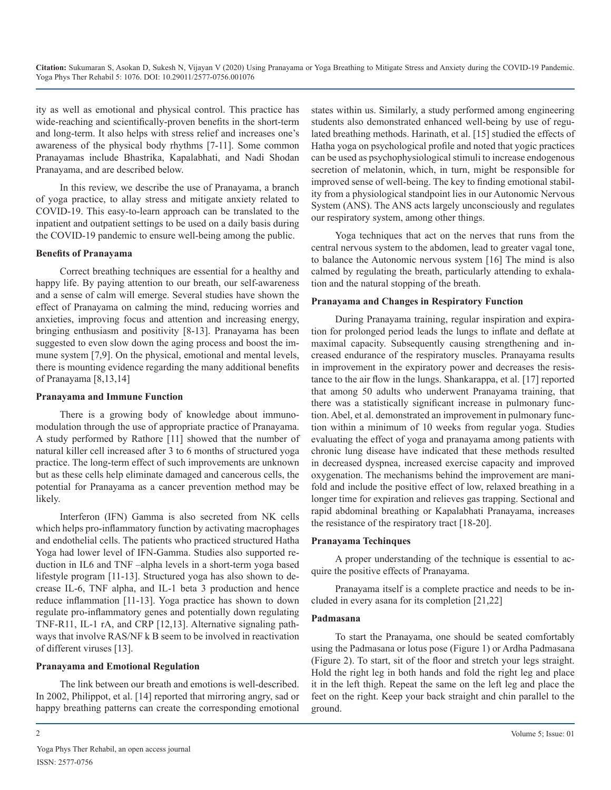ity as well as emotional and physical control. This practice has wide-reaching and scientifically-proven benefits in the short-term and long-term. It also helps with stress relief and increases one's awareness of the physical body rhythms [7-11]. Some common Pranayamas include Bhastrika, Kapalabhati, and Nadi Shodan Pranayama, and are described below.

In this review, we describe the use of Pranayama, a branch of yoga practice, to allay stress and mitigate anxiety related to COVID-19. This easy-to-learn approach can be translated to the inpatient and outpatient settings to be used on a daily basis during the COVID-19 pandemic to ensure well-being among the public.

#### **Benefits of Pranayama**

Correct breathing techniques are essential for a healthy and happy life. By paying attention to our breath, our self-awareness and a sense of calm will emerge. Several studies have shown the effect of Pranayama on calming the mind, reducing worries and anxieties, improving focus and attention and increasing energy, bringing enthusiasm and positivity [8-13]. Pranayama has been suggested to even slow down the aging process and boost the immune system [7,9]. On the physical, emotional and mental levels, there is mounting evidence regarding the many additional benefits of Pranayama [8,13,14]

#### **Pranayama and Immune Function**

There is a growing body of knowledge about immunomodulation through the use of appropriate practice of Pranayama. A study performed by Rathore [11] showed that the number of natural killer cell increased after 3 to 6 months of structured yoga practice. The long-term effect of such improvements are unknown but as these cells help eliminate damaged and cancerous cells, the potential for Pranayama as a cancer prevention method may be likely.

Interferon (IFN) Gamma is also secreted from NK cells which helps pro-inflammatory function by activating macrophages and endothelial cells. The patients who practiced structured Hatha Yoga had lower level of IFN-Gamma. Studies also supported reduction in IL6 and TNF –alpha levels in a short-term yoga based lifestyle program [11-13]. Structured yoga has also shown to decrease IL-6, TNF alpha, and IL-1 beta 3 production and hence reduce inflammation [11-13]. Yoga practice has shown to down regulate pro-inflammatory genes and potentially down regulating TNF-R11, IL-1 rA, and CRP [12,13]. Alternative signaling pathways that involve RAS/NF k B seem to be involved in reactivation of different viruses [13].

#### **Pranayama and Emotional Regulation**

The link between our breath and emotions is well-described. In 2002, Philippot, et al. [14] reported that mirroring angry, sad or happy breathing patterns can create the corresponding emotional states within us. Similarly, a study performed among engineering students also demonstrated enhanced well-being by use of regulated breathing methods. Harinath, et al. [15] studied the effects of Hatha yoga on psychological profile and noted that yogic practices can be used as psychophysiological stimuli to increase endogenous secretion of melatonin, which, in turn, might be responsible for improved sense of well-being. The key to finding emotional stability from a physiological standpoint lies in our Autonomic Nervous System (ANS). The ANS acts largely unconsciously and regulates our respiratory system, among other things.

Yoga techniques that act on the nerves that runs from the central nervous system to the abdomen, lead to greater vagal tone, to balance the Autonomic nervous system [16] The mind is also calmed by regulating the breath, particularly attending to exhalation and the natural stopping of the breath.

#### **Pranayama and Changes in Respiratory Function**

During Pranayama training, regular inspiration and expiration for prolonged period leads the lungs to inflate and deflate at maximal capacity. Subsequently causing strengthening and increased endurance of the respiratory muscles. Pranayama results in improvement in the expiratory power and decreases the resistance to the air flow in the lungs. Shankarappa, et al. [17] reported that among 50 adults who underwent Pranayama training, that there was a statistically significant increase in pulmonary function. Abel, et al. demonstrated an improvement in pulmonary function within a minimum of 10 weeks from regular yoga. Studies evaluating the effect of yoga and pranayama among patients with chronic lung disease have indicated that these methods resulted in decreased dyspnea, increased exercise capacity and improved oxygenation. The mechanisms behind the improvement are manifold and include the positive effect of low, relaxed breathing in a longer time for expiration and relieves gas trapping. Sectional and rapid abdominal breathing or Kapalabhati Pranayama, increases the resistance of the respiratory tract [18-20].

#### **Pranayama Techinques**

A proper understanding of the technique is essential to acquire the positive effects of Pranayama.

Pranayama itself is a complete practice and needs to be included in every asana for its completion [21,22]

#### **Padmasana**

To start the Pranayama, one should be seated comfortably using the Padmasana or lotus pose (Figure 1) or Ardha Padmasana (Figure 2). To start, sit of the floor and stretch your legs straight. Hold the right leg in both hands and fold the right leg and place it in the left thigh. Repeat the same on the left leg and place the feet on the right. Keep your back straight and chin parallel to the ground.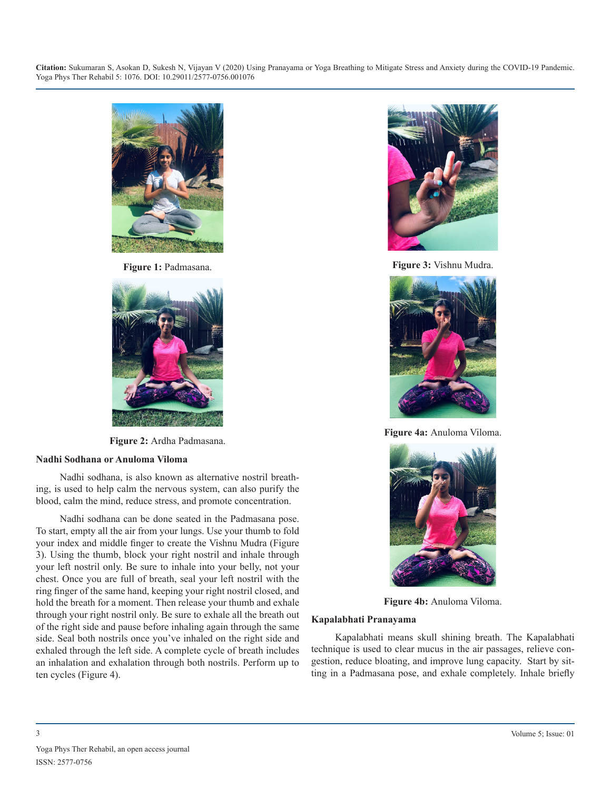**Citation:** Sukumaran S, Asokan D, Sukesh N, Vijayan V (2020) Using Pranayama or Yoga Breathing to Mitigate Stress and Anxiety during the COVID-19 Pandemic. Yoga Phys Ther Rehabil 5: 1076. DOI: 10.29011/2577-0756.001076



**Figure 1:** Padmasana.



**Figure 2:** Ardha Padmasana.

#### **Nadhi Sodhana or Anuloma Viloma**

Nadhi sodhana, is also known as alternative nostril breathing, is used to help calm the nervous system, can also purify the blood, calm the mind, reduce stress, and promote concentration.

Nadhi sodhana can be done seated in the Padmasana pose. To start, empty all the air from your lungs. Use your thumb to fold your index and middle finger to create the Vishnu Mudra (Figure 3). Using the thumb, block your right nostril and inhale through your left nostril only. Be sure to inhale into your belly, not your chest. Once you are full of breath, seal your left nostril with the ring finger of the same hand, keeping your right nostril closed, and hold the breath for a moment. Then release your thumb and exhale through your right nostril only. Be sure to exhale all the breath out of the right side and pause before inhaling again through the same side. Seal both nostrils once you've inhaled on the right side and exhaled through the left side. A complete cycle of breath includes an inhalation and exhalation through both nostrils. Perform up to ten cycles (Figure 4).



**Figure 3:** Vishnu Mudra.



**Figure 4a:** Anuloma Viloma.



**Figure 4b:** Anuloma Viloma.

#### **Kapalabhati Pranayama**

Kapalabhati means skull shining breath. The Kapalabhati technique is used to clear mucus in the air passages, relieve congestion, reduce bloating, and improve lung capacity. Start by sitting in a Padmasana pose, and exhale completely. Inhale briefly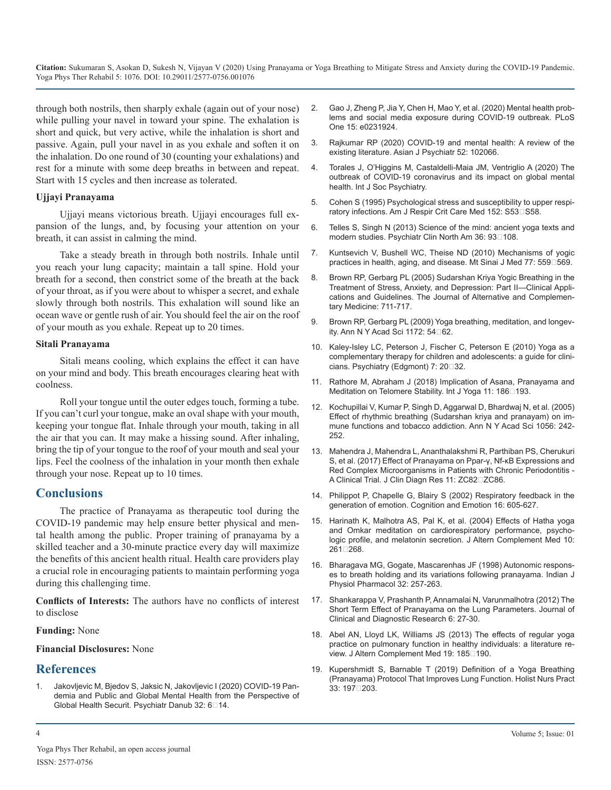**Citation:** Sukumaran S, Asokan D, Sukesh N, Vijayan V (2020) Using Pranayama or Yoga Breathing to Mitigate Stress and Anxiety during the COVID-19 Pandemic. Yoga Phys Ther Rehabil 5: 1076. DOI: 10.29011/2577-0756.001076

through both nostrils, then sharply exhale (again out of your nose) while pulling your navel in toward your spine. The exhalation is short and quick, but very active, while the inhalation is short and passive. Again, pull your navel in as you exhale and soften it on the inhalation. Do one round of 30 (counting your exhalations) and rest for a minute with some deep breaths in between and repeat. Start with 15 cycles and then increase as tolerated.

#### **Ujjayi Pranayama**

Ujjayi means victorious breath. Ujjayi encourages full expansion of the lungs, and, by focusing your attention on your breath, it can assist in calming the mind.

Take a steady breath in through both nostrils. Inhale until you reach your lung capacity; maintain a tall spine. Hold your breath for a second, then constrict some of the breath at the back of your throat, as if you were about to whisper a secret, and exhale slowly through both nostrils. This exhalation will sound like an ocean wave or gentle rush of air. You should feel the air on the roof of your mouth as you exhale. Repeat up to 20 times.

#### **Sitali Pranayama**

Sitali means cooling, which explains the effect it can have on your mind and body. This breath encourages clearing heat with coolness.

Roll your tongue until the outer edges touch, forming a tube. If you can't curl your tongue, make an oval shape with your mouth, keeping your tongue flat. Inhale through your mouth, taking in all the air that you can. It may make a hissing sound. After inhaling, bring the tip of your tongue to the roof of your mouth and seal your lips. Feel the coolness of the inhalation in your month then exhale through your nose. Repeat up to 10 times.

#### **Conclusions**

The practice of Pranayama as therapeutic tool during the COVID-19 pandemic may help ensure better physical and mental health among the public. Proper training of pranayama by a skilled teacher and a 30-minute practice every day will maximize the benefits of this ancient health ritual. Health care providers play a crucial role in encouraging patients to maintain performing yoga during this challenging time.

**Conflicts of Interests:** The authors have no conflicts of interest to disclose

#### **Funding:** None

#### **Financial Disclosures:** None

#### **References**

1. [Jakovljevic M, Bjedov S, Jaksic N, Jakovljevic I \(2020\) COVID-19 Pan](https://pubmed.ncbi.nlm.nih.gov/32303023/)demia and Public and Global Mental Health from the Perspective of Global Health Securit. Psychiatr Danub 32: 6□14.

- 2. [Gao J, Zheng P, Jia Y, Chen H, Mao Y, et al. \(2020\) Mental health prob](https://journals.plos.org/plosone/article?id=10.1371/journal.pone.0231924)lems and social media exposure during COVID-19 outbreak. PLoS [One 15: e0231924](https://journals.plos.org/plosone/article?id=10.1371/journal.pone.0231924).
- 3. [Rajkumar RP \(2020\) COVID-19 and mental health: A review of the](https://www.ncbi.nlm.nih.gov/pmc/articles/PMC7151415/)  existing literature. Asian J Psychiatr 52: 102066.
- 4. [Torales J, O'Higgins M, Castaldelli-Maia JM, Ventriglio A \(2020\) The](https://pubmed.ncbi.nlm.nih.gov/32233719/) outbreak of COVID-19 coronavirus and its impact on global mental [health. Int J Soc Psychiatry.](https://pubmed.ncbi.nlm.nih.gov/32233719/)
- 5. [Cohen S \(1995\) Psychological stress and susceptibility to upper respi](https://pubmed.ncbi.nlm.nih.gov/7551414/)ratory infections. Am J Respir Crit Care Med 152: S53□S58.
- 6. [Telles S, Singh N \(2013\) Science of the mind: ancient yoga texts and](https://pubmed.ncbi.nlm.nih.gov/23538080/)  modern studies. Psychiatr Clin North Am 36: 93□108.
- 7. [Kuntsevich V, Bushell WC, Theise ND \(2010\) Mechanisms of yogic](https://pubmed.ncbi.nlm.nih.gov/20960557/)  practices in health, aging, and disease. Mt Sinai J Med 77: 559<sup>[169]</sup>.
- 8. [Brown RP, Gerbarg PL \(2005\) Sudarshan Kriya](https://pubmed.ncbi.nlm.nih.gov/16131297/) Yogic Breathing in the Treatment of Stress, Anxiety, and Depression: Part II—Clinical Appli[cations and Guidelines. The Journal of Alternative and Complemen](https://pubmed.ncbi.nlm.nih.gov/16131297/)[tary Medicine: 711-717.](https://pubmed.ncbi.nlm.nih.gov/16131297/)
- 9. [Brown RP, Gerbarg PL \(2009\) Yoga breathing, meditation, and longev](https://pubmed.ncbi.nlm.nih.gov/19735239/)ity. Ann N Y Acad Sci 1172: 54□62.
- 10. [Kaley-Isley LC, Peterson J, Fischer C, Peterson E \(2010\) Yoga as a](https://www.ncbi.nlm.nih.gov/pmc/articles/PMC2945853/)  complementary therapy for children and adolescents: a guide for clinicians. Psychiatry (Edgmont) 7: 20<sup>[32]</sup>.
- 11. [Rathore M, Abraham J \(2018\) Implication of Asana, Pranayama and](http://www.ijoy.org.in/article.asp?issn=0973-6131;year=2018;volume=11;issue=3;spage=186;epage=193;aulast=Rathore#:~:text=We explored the possible mechanisms,hypothalamic%E2%80%93pituitary%E2%80%93adrenal axis.)  Meditation on Telomere Stability. Int J Yoga 11: 186<sup>193</sup>.
- 12. [Kochupillai V, Kumar P, Singh D, Aggarwal D, Bhardwaj N, et al. \(2005\)](https://pubmed.ncbi.nlm.nih.gov/16387692/)  Effect of rhythmic breathing (Sudarshan kriya and pranayam) on im[mune functions and tobacco addiction. Ann N Y Acad Sci 1056: 242-](https://pubmed.ncbi.nlm.nih.gov/16387692/) [252](https://pubmed.ncbi.nlm.nih.gov/16387692/).
- 13. [Mahendra J, Mahendra L, Ananthalakshmi R, Parthiban PS, Cherukuri](https://www.ncbi.nlm.nih.gov/pmc/articles/PMC5535487/)  S, et al. (2017) Effect of Pranayama on Ppar-γ, Nf-κB Expressions and [Red Complex Microorganisms in Patients with Chronic Periodontitis -](https://www.ncbi.nlm.nih.gov/pmc/articles/PMC5535487/) A Clinical Trial. J Clin Diagn Res 11: ZC82□ZC86.
- 14. Philippot P, Chapelle G, Blairy [S \(2002\) Respiratory feedback in the](https://www.tandfonline.com/doi/abs/10.1080/02699930143000392)  generation of emotion. Cognition and Emotion 16: 605-627.
- 15. [Harinath K, Malhotra AS, Pal K, et al. \(2004\) Effects of Hatha yoga](https://pubmed.ncbi.nlm.nih.gov/15165407/)  and Omkar meditation on cardiorespiratory performance, psycho[logic profile, and melatonin secretion.](https://pubmed.ncbi.nlm.nih.gov/15165407/) J Altern Complement Med 10: 261□268.
- 16. [Bharagava MG, Gogate, Mascarenhas JF \(1998\) Autonomic respons](https://pubmed.ncbi.nlm.nih.gov/3215678/)es to breath holding and its variations following pranayama. Indian J [Physiol Pharmacol 32: 257-263](https://pubmed.ncbi.nlm.nih.gov/3215678/).
- 17. [Shankarappa V, Prashanth P, Annamalai N, Varunmalhotra \(2012\) The](https://www.jcdr.net/articles/PDF/1861/6  3476.(A).pdf)  Short Term Effect of Pranayama on the Lung Parameters. Journal of [Clinical and Diagnostic Research 6: 27-30.](https://www.jcdr.net/articles/PDF/1861/6 - 3476.(A).pdf)
- 18. [Abel AN, Lloyd LK, Williams JS \(2013\) The effects of regular yoga](https://pubmed.ncbi.nlm.nih.gov/22978245/)  practice on pulmonary function in healthy individuals: a literature review. J Altern Complement Med 19: 185□190.
- 19. [Kupershmidt S, Barnable T \(2019\) Definition of a Yoga Breathing](https://pubmed.ncbi.nlm.nih.gov/31192831/)  (Pranayama) Protocol That Improves Lung Function. Holist Nurs Pract [33: 197‐203](https://pubmed.ncbi.nlm.nih.gov/31192831/).